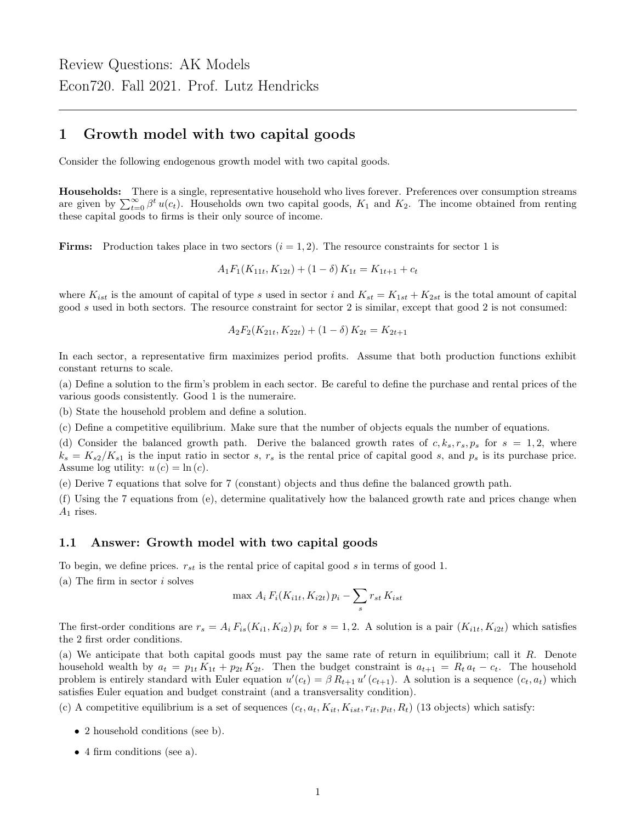## 1 Growth model with two capital goods

Consider the following endogenous growth model with two capital goods.

Households: There is a single, representative household who lives forever. Preferences over consumption streams are given by  $\sum_{t=0}^{\infty} \beta^t u(c_t)$ . Households own two capital goods,  $K_1$  and  $K_2$ . The income obtained from renting these capital goods to firms is their only source of income.

**Firms:** Production takes place in two sectors  $(i = 1, 2)$ . The resource constraints for sector 1 is

$$
A_1F_1(K_{11t}, K_{12t}) + (1 - \delta) K_{1t} = K_{1t+1} + c_t
$$

where  $K_{ist}$  is the amount of capital of type s used in sector i and  $K_{st} = K_{1st} + K_{2st}$  is the total amount of capital good s used in both sectors. The resource constraint for sector 2 is similar, except that good 2 is not consumed:

$$
A_2F_2(K_{21t}, K_{22t}) + (1 - \delta) K_{2t} = K_{2t+1}
$$

In each sector, a representative firm maximizes period profits. Assume that both production functions exhibit constant returns to scale.

(a) Define a solution to the firm's problem in each sector. Be careful to define the purchase and rental prices of the various goods consistently. Good 1 is the numeraire.

(b) State the household problem and define a solution.

(c) Define a competitive equilibrium. Make sure that the number of objects equals the number of equations.

(d) Consider the balanced growth path. Derive the balanced growth rates of  $c, k_s, r_s, p_s$  for  $s = 1, 2$ , where  $k_s = K_{s2}/K_{s1}$  is the input ratio in sector s,  $r_s$  is the rental price of capital good s, and  $p_s$  is its purchase price. Assume log utility:  $u(c) = \ln(c)$ .

(e) Derive 7 equations that solve for 7 (constant) objects and thus define the balanced growth path.

(f) Using the 7 equations from (e), determine qualitatively how the balanced growth rate and prices change when  $A_1$  rises.

#### 1.1 Answer: Growth model with two capital goods

To begin, we define prices.  $r_{st}$  is the rental price of capital good s in terms of good 1.

(a) The firm in sector  $i$  solves

$$
\max A_i F_i(K_{i1t}, K_{i2t}) p_i - \sum_s r_{st} K_{ist}
$$

The first-order conditions are  $r_s = A_i F_{is}(K_{i1}, K_{i2}) p_i$  for  $s = 1, 2$ . A solution is a pair  $(K_{i1t}, K_{i2t})$  which satisfies the 2 first order conditions.

(a) We anticipate that both capital goods must pay the same rate of return in equilibrium; call it R. Denote household wealth by  $a_t = p_{1t} K_{1t} + p_{2t} K_{2t}$ . Then the budget constraint is  $a_{t+1} = R_t a_t - c_t$ . The household problem is entirely standard with Euler equation  $u'(c_t) = \beta R_{t+1} u'(c_{t+1})$ . A solution is a sequence  $(c_t, a_t)$  which satisfies Euler equation and budget constraint (and a transversality condition).

(c) A competitive equilibrium is a set of sequences  $(c_t, a_t, K_{it}, K_{ist}, r_{it}, p_{it}, R_t)$  (13 objects) which satisfy:

- 2 household conditions (see b).
- 4 firm conditions (see a).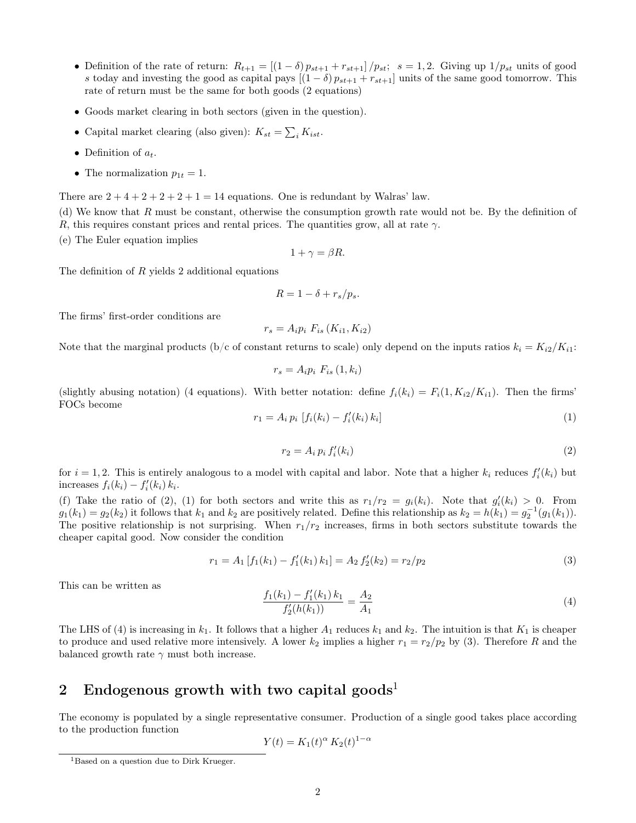- Definition of the rate of return:  $R_{t+1} = \left[\left(1-\delta\right)p_{st+1} + r_{st+1}\right]/p_{st}$ ;  $s = 1, 2$ . Giving up  $1/p_{st}$  units of good s today and investing the good as capital pays  $[(1 - \delta) p_{st+1} + r_{st+1}]$  units of the same good tomorrow. This rate of return must be the same for both goods (2 equations)
- Goods market clearing in both sectors (given in the question).
- Capital market clearing (also given):  $K_{st} = \sum_i K_{ist}$ .
- Definition of  $a_t$ .
- The normalization  $p_{1t} = 1$ .

There are  $2+4+2+2+2+1=14$  equations. One is redundant by Walras' law.

(d) We know that  $R$  must be constant, otherwise the consumption growth rate would not be. By the definition of R, this requires constant prices and rental prices. The quantities grow, all at rate  $\gamma$ .

(e) The Euler equation implies

$$
1 + \gamma = \beta R.
$$

The definition of R yields 2 additional equations

$$
R=1-\delta+r_s/p_s.
$$

The firms' first-order conditions are

$$
r_s = A_i p_i F_{is} (K_{i1}, K_{i2})
$$

Note that the marginal products (b/c of constant returns to scale) only depend on the inputs ratios  $k_i = K_{i2}/K_{i1}$ :

$$
r_s = A_i p_i \ F_{is} \left( 1, k_i \right)
$$

(slightly abusing notation) (4 equations). With better notation: define  $f_i(k_i) = F_i(1, K_{i2}/K_{i1})$ . Then the firms' FOCs become

$$
r_1 = A_i p_i [f_i(k_i) - f'_i(k_i) k_i]
$$
\n(1)

$$
r_2 = A_i p_i f'_i(k_i) \tag{2}
$$

for  $i = 1, 2$ . This is entirely analogous to a model with capital and labor. Note that a higher  $k_i$  reduces  $f_i'(k_i)$  but increases  $f_i(k_i) - f'_i(k_i) k_i$ .

(f) Take the ratio of (2), (1) for both sectors and write this as  $r_1/r_2 = g_i(k_i)$ . Note that  $g'_i(k_i) > 0$ . From  $g_1(k_1) = g_2(k_2)$  it follows that  $k_1$  and  $k_2$  are positively related. Define this relationship as  $k_2 = h(k_1) = g_2^{-1}(g_1(k_1))$ . The positive relationship is not surprising. When  $r_1/r_2$  increases, firms in both sectors substitute towards the cheaper capital good. Now consider the condition

$$
r_1 = A_1 \left[ f_1(k_1) - f_1'(k_1) k_1 \right] = A_2 \, f_2'(k_2) = r_2/p_2 \tag{3}
$$

This can be written as

$$
\frac{f_1(k_1) - f_1'(k_1) k_1}{f_2'(h(k_1))} = \frac{A_2}{A_1} \tag{4}
$$

The LHS of (4) is increasing in  $k_1$ . It follows that a higher  $A_1$  reduces  $k_1$  and  $k_2$ . The intuition is that  $K_1$  is cheaper to produce and used relative more intensively. A lower  $k_2$  implies a higher  $r_1 = r_2/p_2$  by (3). Therefore R and the balanced growth rate  $\gamma$  must both increase.

# 2 Endogenous growth with two capital goods<sup>1</sup>

The economy is populated by a single representative consumer. Production of a single good takes place according to the production function

$$
Y(t) = K_1(t)^{\alpha} K_2(t)^{1-\alpha}
$$

<sup>&</sup>lt;sup>1</sup>Based on a question due to Dirk Krueger.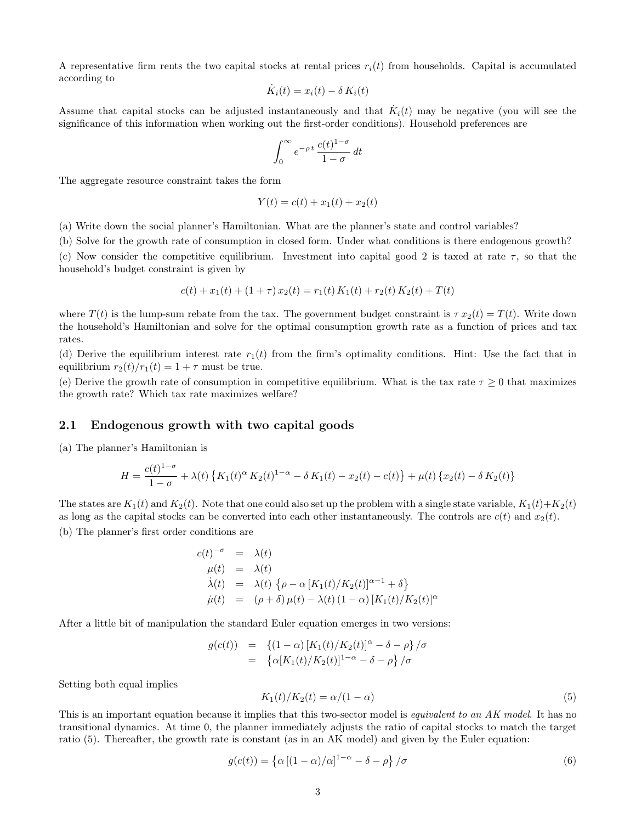A representative firm rents the two capital stocks at rental prices  $r_i(t)$  from households. Capital is accumulated according to

$$
\dot{K}_i(t) = x_i(t) - \delta \, K_i(t)
$$

Assume that capital stocks can be adjusted instantaneously and that  $\dot{K}_i(t)$  may be negative (you will see the significance of this information when working out the first-order conditions). Household preferences are

$$
\int_0^\infty e^{-\rho t} \frac{c(t)^{1-\sigma}}{1-\sigma} dt
$$

The aggregate resource constraint takes the form

$$
Y(t) = c(t) + x_1(t) + x_2(t)
$$

(a) Write down the social planner's Hamiltonian. What are the planner's state and control variables?

(b) Solve for the growth rate of consumption in closed form. Under what conditions is there endogenous growth?

(c) Now consider the competitive equilibrium. Investment into capital good 2 is taxed at rate  $\tau$ , so that the household's budget constraint is given by

$$
c(t) + x_1(t) + (1 + \tau) x_2(t) = r_1(t) K_1(t) + r_2(t) K_2(t) + T(t)
$$

where  $T(t)$  is the lump-sum rebate from the tax. The government budget constraint is  $\tau x_2(t) = T(t)$ . Write down the household's Hamiltonian and solve for the optimal consumption growth rate as a function of prices and tax rates.

(d) Derive the equilibrium interest rate  $r_1(t)$  from the firm's optimality conditions. Hint: Use the fact that in equilibrium  $r_2(t)/r_1(t) = 1 + \tau$  must be true.

(e) Derive the growth rate of consumption in competitive equilibrium. What is the tax rate  $\tau \geq 0$  that maximizes the growth rate? Which tax rate maximizes welfare?

#### 2.1 Endogenous growth with two capital goods

(a) The planner's Hamiltonian is

$$
H = \frac{c(t)^{1-\sigma}}{1-\sigma} + \lambda(t) \left\{ K_1(t)^{\alpha} K_2(t)^{1-\alpha} - \delta K_1(t) - x_2(t) - c(t) \right\} + \mu(t) \left\{ x_2(t) - \delta K_2(t) \right\}
$$

The states are  $K_1(t)$  and  $K_2(t)$ . Note that one could also set up the problem with a single state variable,  $K_1(t)+K_2(t)$ as long as the capital stocks can be converted into each other instantaneously. The controls are  $c(t)$  and  $x_2(t)$ .

(b) The planner's first order conditions are

$$
c(t)^{-\sigma} = \lambda(t)
$$
  
\n
$$
\mu(t) = \lambda(t)
$$
  
\n
$$
\dot{\lambda}(t) = \lambda(t) \{ \rho - \alpha [K_1(t)/K_2(t)]^{\alpha - 1} + \delta \}
$$
  
\n
$$
\dot{\mu}(t) = (\rho + \delta) \mu(t) - \lambda(t) (1 - \alpha) [K_1(t)/K_2(t)]^{\alpha}
$$

After a little bit of manipulation the standard Euler equation emerges in two versions:

$$
g(c(t)) = \{ (1-\alpha) [K_1(t)/K_2(t)]^{\alpha} - \delta - \rho \} / \sigma = \{ \alpha [K_1(t)/K_2(t)]^{1-\alpha} - \delta - \rho \} / \sigma
$$

Setting both equal implies

$$
K_1(t)/K_2(t) = \alpha/(1-\alpha) \tag{5}
$$

This is an important equation because it implies that this two-sector model is *equivalent to an AK model*. It has no transitional dynamics. At time 0, the planner immediately adjusts the ratio of capital stocks to match the target ratio (5). Thereafter, the growth rate is constant (as in an AK model) and given by the Euler equation:

$$
g(c(t)) = \left\{ \alpha \left[ (1 - \alpha)/\alpha \right]^{1 - \alpha} - \delta - \rho \right\} / \sigma \tag{6}
$$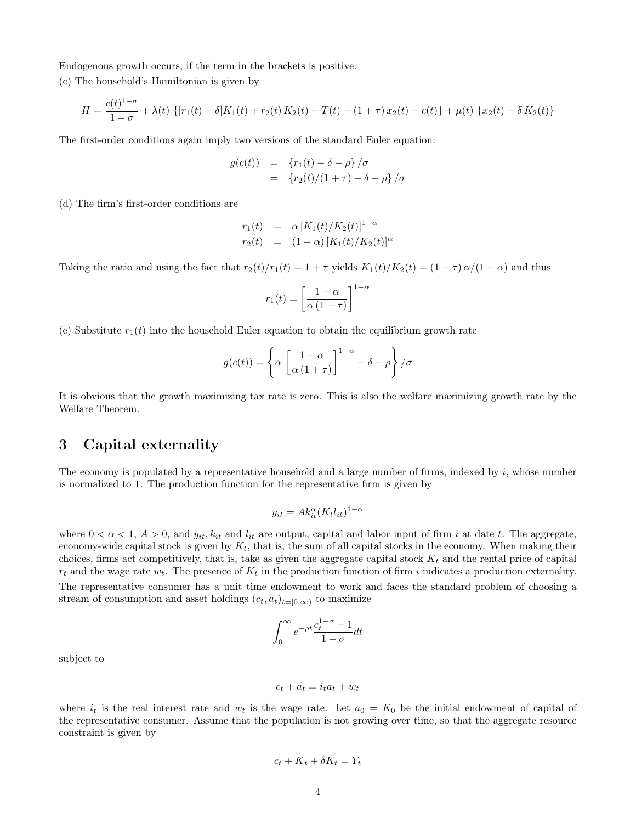Endogenous growth occurs, if the term in the brackets is positive.

(c) The household's Hamiltonian is given by

$$
H = \frac{c(t)^{1-\sigma}}{1-\sigma} + \lambda(t) \left\{ [r_1(t) - \delta]K_1(t) + r_2(t)K_2(t) + T(t) - (1+\tau)x_2(t) - c(t) \right\} + \mu(t) \left\{ x_2(t) - \delta K_2(t) \right\}
$$

The first-order conditions again imply two versions of the standard Euler equation:

$$
g(c(t)) = {r_1(t) - \delta - \rho} / \sigma
$$
  
=  ${r_2(t) / (1 + \tau) - \delta - \rho} / \sigma$ 

(d) The firm's first-order conditions are

$$
r_1(t) = \alpha [K_1(t)/K_2(t)]^{1-\alpha}
$$
  
\n
$$
r_2(t) = (1-\alpha) [K_1(t)/K_2(t)]^c
$$

Taking the ratio and using the fact that  $r_2(t)/r_1(t) = 1 + \tau$  yields  $K_1(t)/K_2(t) = (1 - \tau) \alpha/(1 - \alpha)$  and thus

$$
r_1(t) = \left[\frac{1-\alpha}{\alpha(1+\tau)}\right]^{1-\alpha}
$$

(e) Substitute  $r_1(t)$  into the household Euler equation to obtain the equilibrium growth rate

$$
g(c(t)) = \left\{ \alpha \left[ \frac{1-\alpha}{\alpha(1+\tau)} \right]^{1-\alpha} - \delta - \rho \right\} / \sigma
$$

It is obvious that the growth maximizing tax rate is zero. This is also the welfare maximizing growth rate by the Welfare Theorem.

### 3 Capital externality

The economy is populated by a representative household and a large number of firms, indexed by  $i$ , whose number is normalized to 1. The production function for the representative firm is given by

$$
y_{it} = Ak_{it}^{\alpha}(K_t l_{it})^{1-\alpha}
$$

where  $0 < \alpha < 1$ ,  $A > 0$ , and  $y_{it}$ ,  $k_{it}$  and  $l_{it}$  are output, capital and labor input of firm i at date t. The aggregate, economy-wide capital stock is given by  $K_t$ , that is, the sum of all capital stocks in the economy. When making their choices, firms act competitively, that is, take as given the aggregate capital stock  $K_t$  and the rental price of capital  $r_t$  and the wage rate  $w_t$ . The presence of  $K_t$  in the production function of firm i indicates a production externality. The representative consumer has a unit time endowment to work and faces the standard problem of choosing a stream of consumption and asset holdings  $(c_t, a_t)_{t=[0,\infty)}$  to maximize

$$
\int_0^\infty e^{-\rho t} \frac{c_t^{1-\sigma} - 1}{1 - \sigma} dt
$$

subject to

$$
c_t + \dot{a_t} = i_t a_t + w_t
$$

where  $i_t$  is the real interest rate and  $w_t$  is the wage rate. Let  $a_0 = K_0$  be the initial endowment of capital of the representative consumer. Assume that the population is not growing over time, so that the aggregate resource constraint is given by

$$
c_t + \dot{K}_t + \delta K_t = Y_t
$$